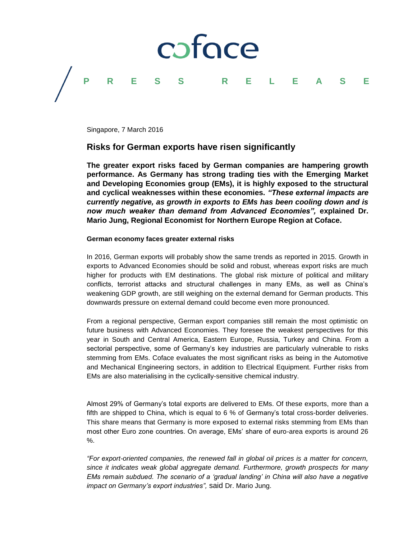

Singapore, 7 March 2016

# **Risks for German exports have risen significantly**

**The greater export risks faced by German companies are hampering growth performance. As Germany has strong trading ties with the Emerging Market and Developing Economies group (EMs), it is highly exposed to the structural and cyclical weaknesses within these economies.** *"These external impacts are currently negative, as growth in exports to EMs has been cooling down and is now much weaker than demand from Advanced Economies",* **explained Dr. Mario Jung, Regional Economist for Northern Europe Region at Coface.**

## **German economy faces greater external risks**

In 2016, German exports will probably show the same trends as reported in 2015. Growth in exports to Advanced Economies should be solid and robust, whereas export risks are much higher for products with EM destinations. The global risk mixture of political and military conflicts, terrorist attacks and structural challenges in many EMs, as well as China's weakening GDP growth, are still weighing on the external demand for German products. This downwards pressure on external demand could become even more pronounced.

From a regional perspective, German export companies still remain the most optimistic on future business with Advanced Economies. They foresee the weakest perspectives for this year in South and Central America, Eastern Europe, Russia, Turkey and China. From a sectorial perspective, some of Germany's key industries are particularly vulnerable to risks stemming from EMs. Coface evaluates the most significant risks as being in the Automotive and Mechanical Engineering sectors, in addition to Electrical Equipment. Further risks from EMs are also materialising in the cyclically-sensitive chemical industry.

Almost 29% of Germany's total exports are delivered to EMs. Of these exports, more than a fifth are shipped to China, which is equal to 6 % of Germany's total cross-border deliveries. This share means that Germany is more exposed to external risks stemming from EMs than most other Euro zone countries. On average, EMs' share of euro-area exports is around 26 %.

*"For export-oriented companies, the renewed fall in global oil prices is a matter for concern, since it indicates weak global aggregate demand. Furthermore, growth prospects for many EMs remain subdued. The scenario of a 'gradual landing' in China will also have a negative impact on Germany's export industries",* said Dr. Mario Jung.